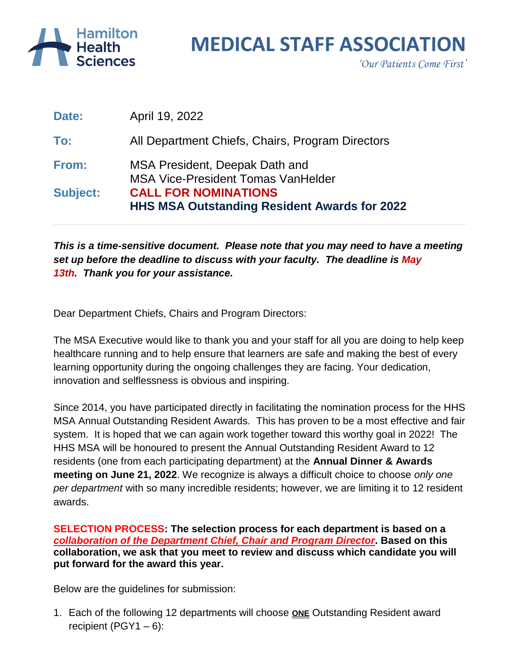

## **MEDICAL STAFF ASSOCIATION**

*'Our Patients Come First'*

|                 | <b>HHS MSA Outstanding Resident Awards for 2022</b> |
|-----------------|-----------------------------------------------------|
| <b>Subject:</b> | <b>CALL FOR NOMINATIONS</b>                         |
|                 | <b>MSA Vice-President Tomas VanHelder</b>           |
| From:           | MSA President, Deepak Dath and                      |
| To:             | All Department Chiefs, Chairs, Program Directors    |
| Date:           | April 19, 2022                                      |

*This is a time-sensitive document. Please note that you may need to have a meeting set up before the deadline to discuss with your faculty. The deadline is May 13th. Thank you for your assistance.*

Dear Department Chiefs, Chairs and Program Directors:

The MSA Executive would like to thank you and your staff for all you are doing to help keep healthcare running and to help ensure that learners are safe and making the best of every learning opportunity during the ongoing challenges they are facing. Your dedication, innovation and selflessness is obvious and inspiring.

Since 2014, you have participated directly in facilitating the nomination process for the HHS MSA Annual Outstanding Resident Awards. This has proven to be a most effective and fair system. It is hoped that we can again work together toward this worthy goal in 2022! The HHS MSA will be honoured to present the Annual Outstanding Resident Award to 12 residents (one from each participating department) at the **Annual Dinner & Awards meeting on June 21, 2022**. We recognize is always a difficult choice to choose *only one per department* with so many incredible residents; however, we are limiting it to 12 resident awards.

**SELECTION PROCESS: The selection process for each department is based on a**  *collaboration of the Department Chief, Chair and Program Director***. Based on this collaboration, we ask that you meet to review and discuss which candidate you will put forward for the award this year.** 

Below are the guidelines for submission:

1. Each of the following 12 departments will choose **ONE** Outstanding Resident award recipient (PGY1  $-6$ ):